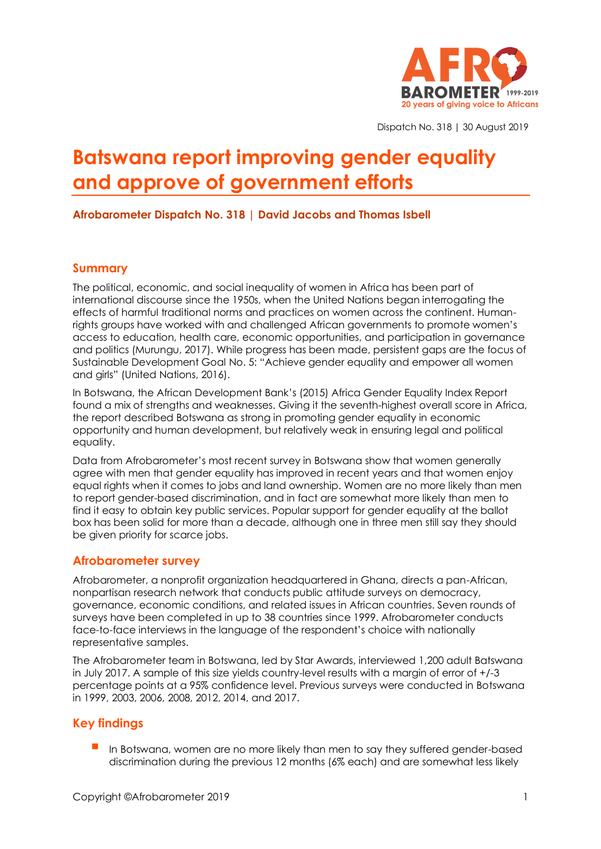

Dispatch No. 318 | 30 August 2019

# **Batswana report improving gender equality and approve of government efforts**

## **Afrobarometer Dispatch No. 318 | David Jacobs and Thomas Isbell**

## **Summary**

The political, economic, and social inequality of women in Africa has been part of international discourse since the 1950s, when the United Nations began interrogating the effects of harmful traditional norms and practices on women across the continent. Humanrights groups have worked with and challenged African governments to promote women's access to education, health care, economic opportunities, and participation in governance and politics (Murungu, 2017). While progress has been made, persistent gaps are the focus of Sustainable Development Goal No. 5: "Achieve gender equality and empower all women and girls" (United Nations, 2016).

In Botswana, the African Development Bank's (2015) Africa Gender Equality Index Report found a mix of strengths and weaknesses. Giving it the seventh-highest overall score in Africa, the report described Botswana as strong in promoting gender equality in economic opportunity and human development, but relatively weak in ensuring legal and political equality.

Data from Afrobarometer's most recent survey in Botswana show that women generally agree with men that gender equality has improved in recent years and that women enjoy equal rights when it comes to jobs and land ownership. Women are no more likely than men to report gender-based discrimination, and in fact are somewhat more likely than men to find it easy to obtain key public services. Popular support for gender equality at the ballot box has been solid for more than a decade, although one in three men still say they should be given priority for scarce jobs.

# **Afrobarometer survey**

Afrobarometer, a nonprofit organization headquartered in Ghana, directs a pan-African, nonpartisan research network that conducts public attitude surveys on democracy, governance, economic conditions, and related issues in African countries. Seven rounds of surveys have been completed in up to 38 countries since 1999. Afrobarometer conducts face-to-face interviews in the language of the respondent's choice with nationally representative samples.

The Afrobarometer team in Botswana, led by Star Awards, interviewed 1,200 adult Batswana in July 2017. A sample of this size yields country-level results with a margin of error of +/-3 percentage points at a 95% confidence level. Previous surveys were conducted in Botswana in 1999, 2003, 2006, 2008, 2012, 2014, and 2017.

# **Key findings**

In Botswana, women are no more likely than men to say they suffered gender-based discrimination during the previous 12 months (6% each) and are somewhat less likely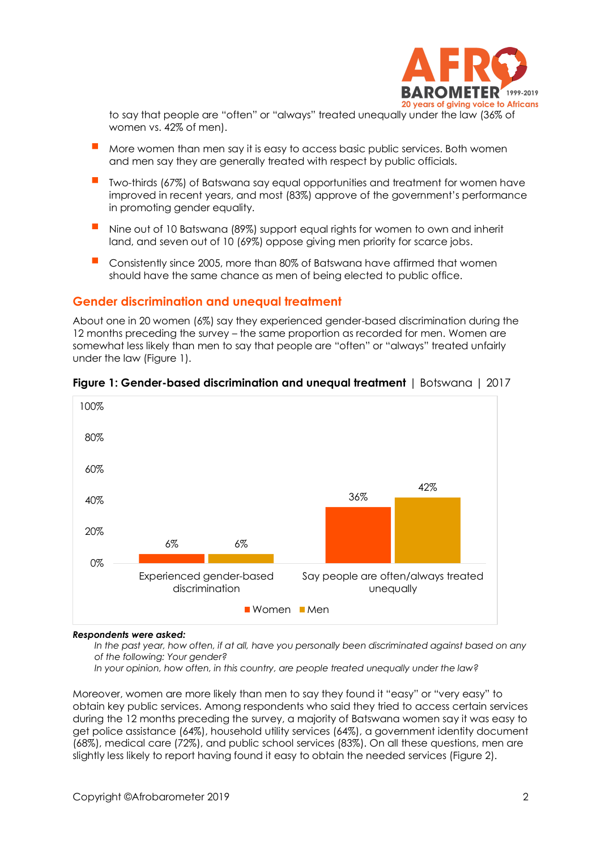

to say that people are "often" or "always" treated unequally under the law (36% of women vs. 42% of men).

- More women than men say it is easy to access basic public services. Both women and men say they are generally treated with respect by public officials.
- Two-thirds (67%) of Batswana say equal opportunities and treatment for women have improved in recent years, and most (83%) approve of the government's performance in promoting gender equality.
- Nine out of 10 Batswana (89%) support equal rights for women to own and inherit land, and seven out of 10 (69%) oppose giving men priority for scarce jobs.
- Consistently since 2005, more than 80% of Batswana have affirmed that women should have the same chance as men of being elected to public office.

### **Gender discrimination and unequal treatment**

About one in 20 women (6%) say they experienced gender-based discrimination during the 12 months preceding the survey – the same proportion as recorded for men. Women are somewhat less likely than men to say that people are "often" or "always" treated unfairly under the law (Figure 1).



#### **Figure 1: Gender-based discrimination and unequal treatment** | Botswana | 2017

#### *Respondents were asked:*

In the past year, how often, if at all, have you personally been discriminated against based on any *of the following: Your gender?*

*In your opinion, how often, in this country, are people treated unequally under the law?*

Moreover, women are more likely than men to say they found it "easy" or "very easy" to obtain key public services. Among respondents who said they tried to access certain services during the 12 months preceding the survey, a majority of Batswana women say it was easy to get police assistance (64%), household utility services (64%), a government identity document (68%), medical care (72%), and public school services (83%). On all these questions, men are slightly less likely to report having found it easy to obtain the needed services (Figure 2).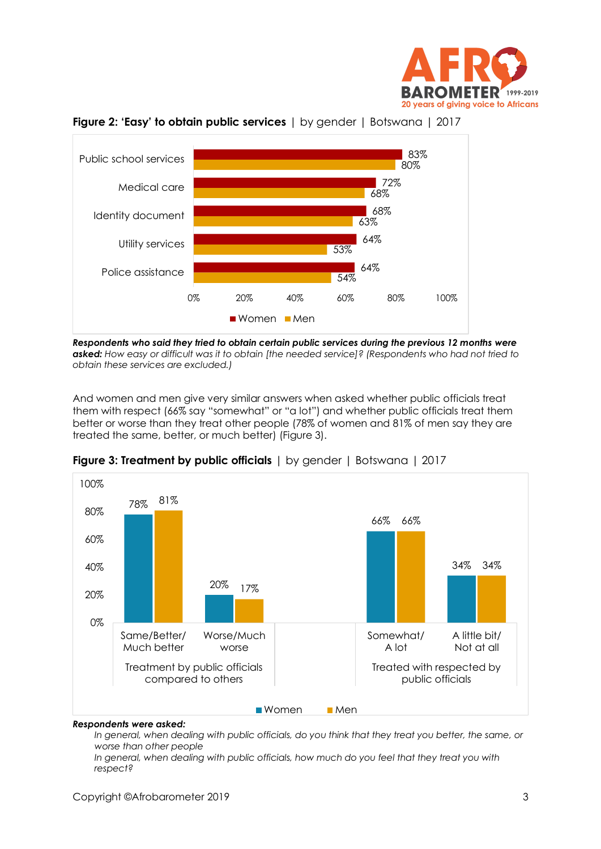



**Figure 2: 'Easy' to obtain public services** | by gender | Botswana | 2017

*Respondents who said they tried to obtain certain public services during the previous 12 months were asked: How easy or difficult was it to obtain [the needed service]? (Respondents who had not tried to obtain these services are excluded.)*

And women and men give very similar answers when asked whether public officials treat them with respect (66% say "somewhat" or "a lot") and whether public officials treat them better or worse than they treat other people (78% of women and 81% of men say they are treated the same, better, or much better) (Figure 3).



**Figure 3: Treatment by public officials** | by gender | Botswana | 2017

#### *Respondents were asked:*

*In general, when dealing with public officials, do you think that they treat you better, the same, or worse than other people*

*In general, when dealing with public officials, how much do you feel that they treat you with respect?*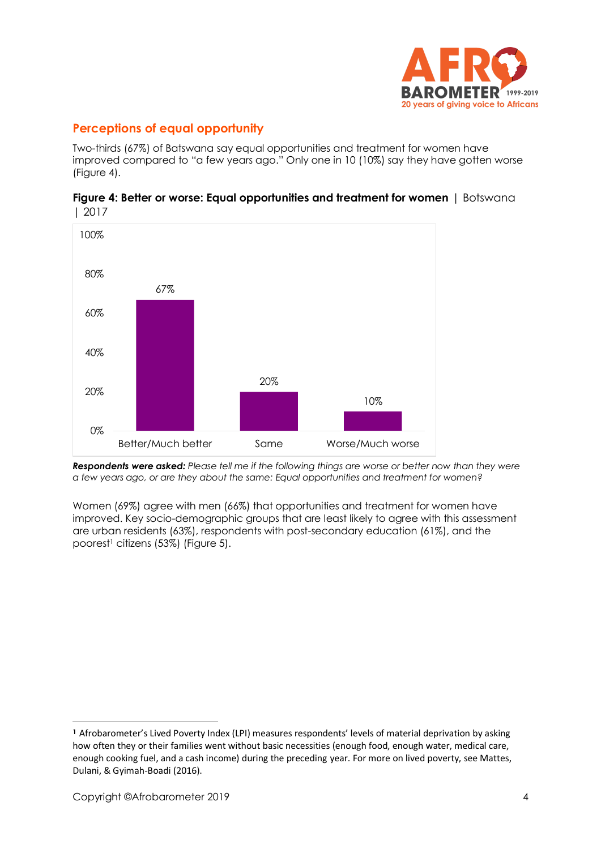

# **Perceptions of equal opportunity**

Two-thirds (67%) of Batswana say equal opportunities and treatment for women have improved compared to "a few years ago." Only one in 10 (10%) say they have gotten worse (Figure 4).



**Figure 4: Better or worse: Equal opportunities and treatment for women** | Botswana | 2017

*Respondents were asked: Please tell me if the following things are worse or better now than they were a few years ago, or are they about the same: Equal opportunities and treatment for women?*

Women (69%) agree with men (66%) that opportunities and treatment for women have improved. Key socio-demographic groups that are least likely to agree with this assessment are urban residents (63%), respondents with post-secondary education (61%), and the poorest<sup>1</sup> citizens (53%) (Figure 5).

**<sup>1</sup>** Afrobarometer's Lived Poverty Index (LPI) measures respondents' levels of material deprivation by asking how often they or their families went without basic necessities (enough food, enough water, medical care, enough cooking fuel, and a cash income) during the preceding year. For more on lived poverty, see Mattes, Dulani, & Gyimah-Boadi (2016).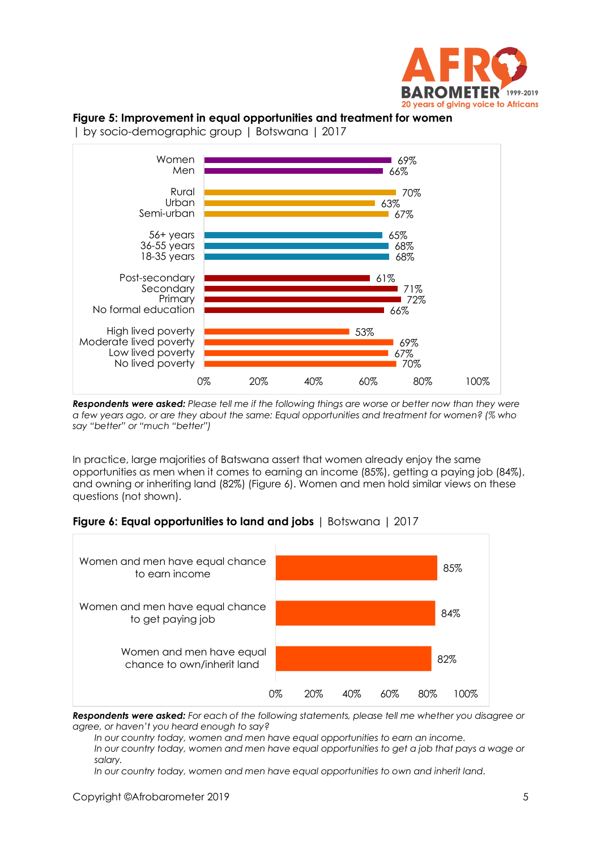

# **Figure 5: Improvement in equal opportunities and treatment for women**



| by socio-demographic group | Botswana | 2017

*Respondents were asked: Please tell me if the following things are worse or better now than they were a few years ago, or are they about the same: Equal opportunities and treatment for women? (% who say "better" or "much "better")*

In practice, large majorities of Batswana assert that women already enjoy the same opportunities as men when it comes to earning an income (85%), getting a paying job (84%), and owning or inheriting land (82%) (Figure 6). Women and men hold similar views on these questions (not shown).





*Respondents were asked: For each of the following statements, please tell me whether you disagree or agree, or haven't you heard enough to say?*

*In our country today, women and men have equal opportunities to earn an income.*

*In our country today, women and men have equal opportunities to get a job that pays a wage or salary.*

*In our country today, women and men have equal opportunities to own and inherit land.*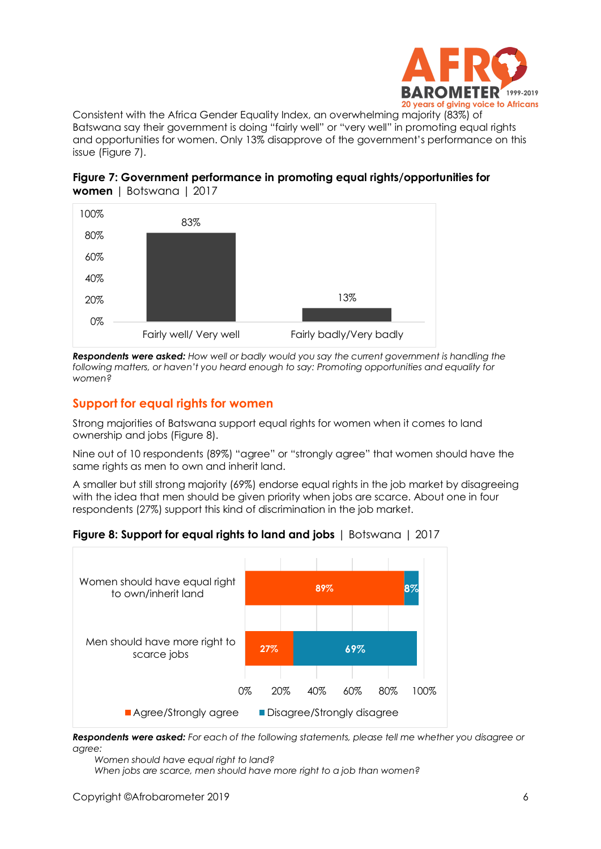

Consistent with the Africa Gender Equality Index, an overwhelming majority (83%) of Batswana say their government is doing "fairly well" or "very well" in promoting equal rights and opportunities for women. Only 13% disapprove of the government's performance on this issue (Figure 7).





*Respondents were asked: How well or badly would you say the current government is handling the following matters, or haven't you heard enough to say: Promoting opportunities and equality for women?*

# **Support for equal rights for women**

Strong majorities of Batswana support equal rights for women when it comes to land ownership and jobs (Figure 8).

Nine out of 10 respondents (89%) "agree" or "strongly agree" that women should have the same rights as men to own and inherit land.

A smaller but still strong majority (69%) endorse equal rights in the job market by disagreeing with the idea that men should be given priority when jobs are scarce. About one in four respondents (27%) support this kind of discrimination in the job market.

**Figure 8: Support for equal rights to land and jobs** | Botswana | 2017



*Respondents were asked: For each of the following statements, please tell me whether you disagree or agree:*

*Women should have equal right to land? When jobs are scarce, men should have more right to a job than women?*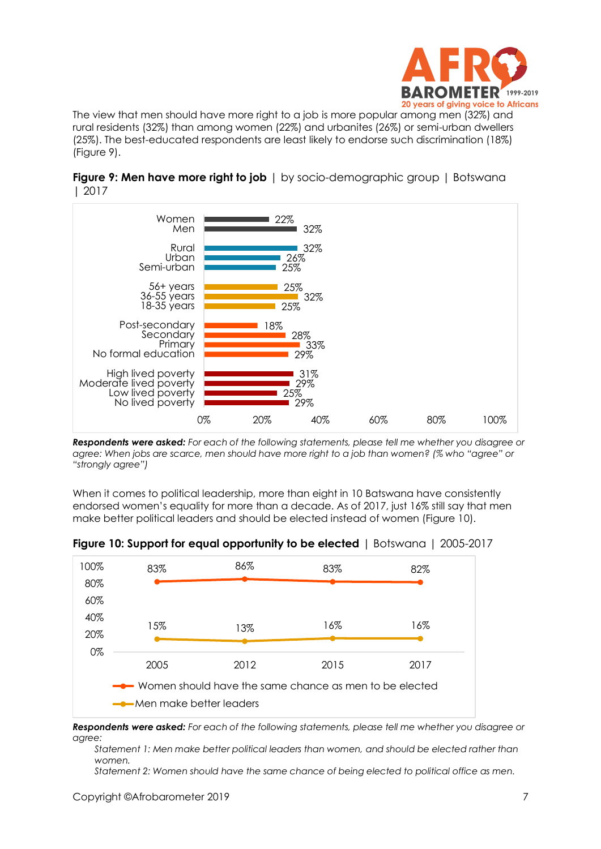

The view that men should have more right to a job is more popular among men (32%) and rural residents (32%) than among women (22%) and urbanites (26%) or semi-urban dwellers (25%). The best-educated respondents are least likely to endorse such discrimination (18%) (Figure 9).



**Figure 9: Men have more right to job** | by socio-demographic group | Botswana | 2017

*Respondents were asked: For each of the following statements, please tell me whether you disagree or agree: When jobs are scarce, men should have more right to a job than women? (% who "agree" or "strongly agree")*

When it comes to political leadership, more than eight in 10 Batswana have consistently endorsed women's equality for more than a decade. As of 2017, just 16% still say that men make better political leaders and should be elected instead of women (Figure 10).



**Figure 10: Support for equal opportunity to be elected** | Botswana | 2005-2017

*Respondents were asked: For each of the following statements, please tell me whether you disagree or agree:*

*Statement 1: Men make better political leaders than women, and should be elected rather than women.*

*Statement 2: Women should have the same chance of being elected to political office as men.*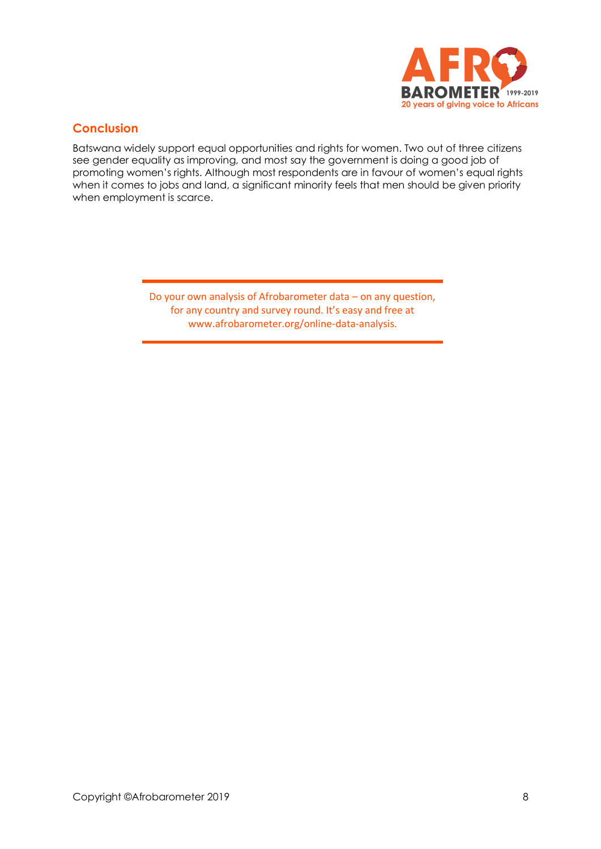

# **Conclusion**

Batswana widely support equal opportunities and rights for women. Two out of three citizens see gender equality as improving, and most say the government is doing a good job of promoting women's rights. Although most respondents are in favour of women's equal rights when it comes to jobs and land, a significant minority feels that men should be given priority when employment is scarce.

> Do your own analysis of Afrobarometer data – on any question, for any country and survey round. It's easy and free at www.afrobarometer.org/online-data-analysis.